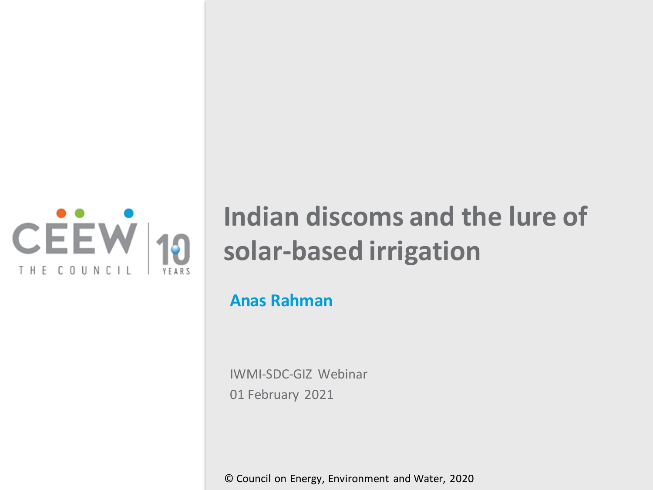

# **Indian discoms and the lure of solar-based irrigation**

#### **Anas Rahman**

IWMI-SDC-GIZ Webinar 01 February 2021

© Council on Energy, Environment and Water, 2020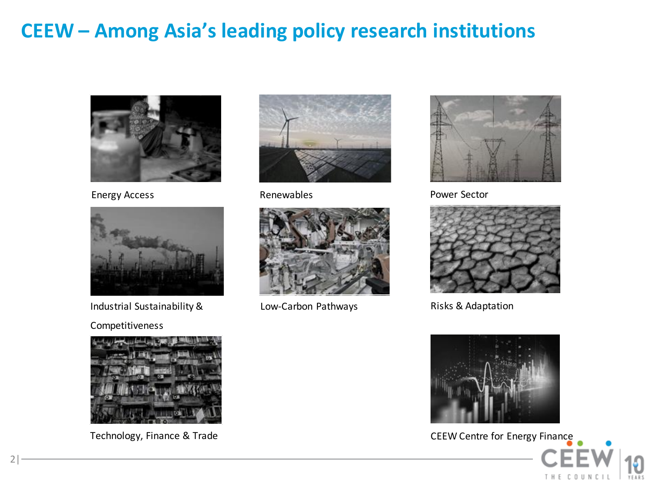# **CEEW – Among Asia's leading policy research institutions**



Energy Access **Renewables** 



Industrial Sustainability &

Competitiveness



Technology, Finance & Trade





Low-Carbon Pathways



Power Sector



Risks & Adaptation



CEEW Centre for Energy Finance

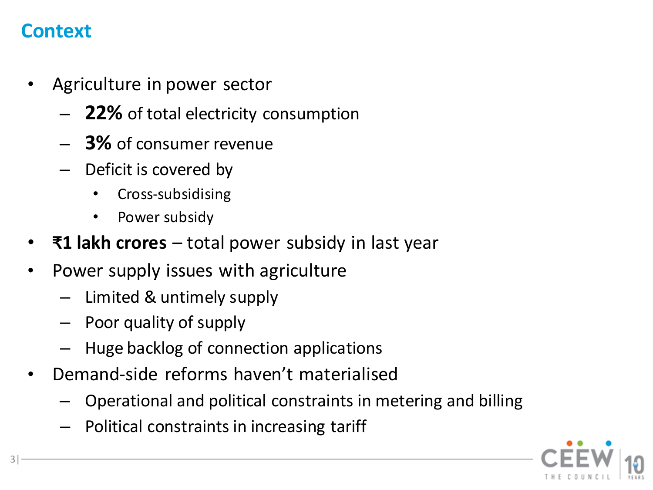# **Context**

- Agriculture in power sector
	- **22%** of total electricity consumption
	- **3%** of consumer revenue
	- Deficit is covered by
		- Cross-subsidising
		- Power subsidy
- **₹1 lakh crores**  total power subsidy in last year
- Power supply issues with agriculture
	- Limited & untimely supply
	- Poor quality of supply
	- Huge backlog of connection applications
- Demand-side reforms haven't materialised
	- Operational and political constraints in metering and billing
	- Political constraints in increasing tariff

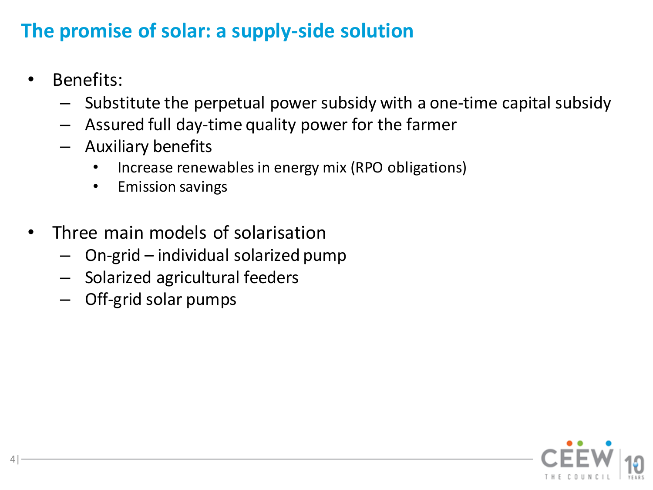# **The promise of solar: a supply-side solution**

• Benefits:

- Substitute the perpetual power subsidy with a one-time capital subsidy
- Assured full day-time quality power for the farmer
- Auxiliary benefits
	- Increase renewables in energy mix (RPO obligations)
	- Emission savings
- Three main models of solarisation
	- On-grid individual solarized pump
	- Solarized agricultural feeders
	- Off-grid solar pumps

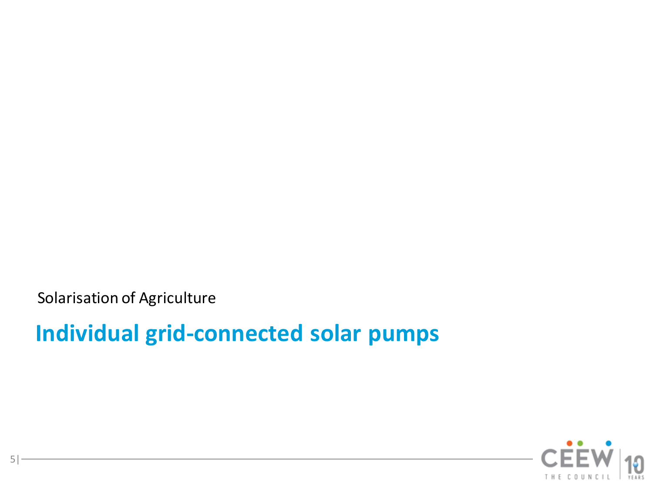Solarisation of Agriculture

# **Individual grid-connected solar pumps**

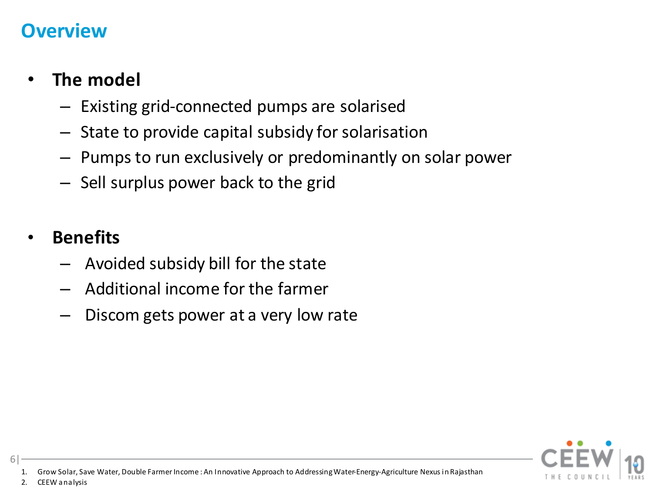#### **Overview**

# • **The model**

- Existing grid-connected pumps are solarised
- State to provide capital subsidy for solarisation
- Pumps to run exclusively or predominantly on solar power
- Sell surplus power back to the grid

#### • **Benefits**

- Avoided subsidy bill for the state
- Additional income for the farmer
- Discom gets power at a very low rate



- 1. Grow Solar, Save Water, Double Farmer Income : An Innovative Approach to Addressing Water-Energy-Agriculture Nexus in Rajasthan
- 2. CEEW analysis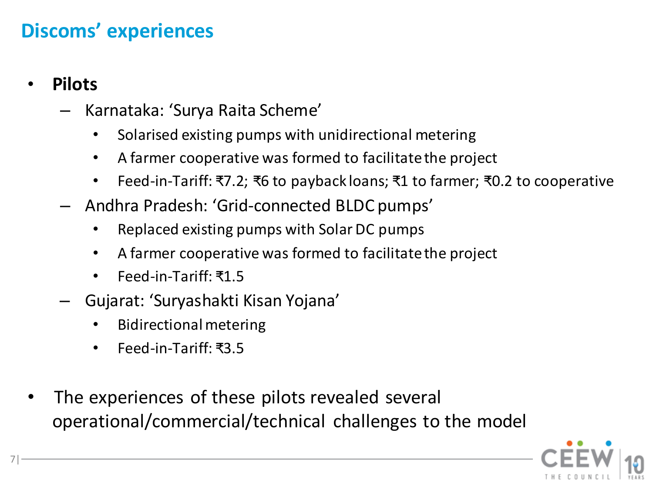# **Discoms' experiences**

#### • **Pilots**

- Karnataka: 'Surya Raita Scheme'
	- Solarised existing pumps with unidirectional metering
	- A farmer cooperative was formed to facilitate the project
	- Feed-in-Tariff: ₹7.2; ₹6 to payback loans; ₹1 to farmer; ₹0.2 to cooperative
- Andhra Pradesh: 'Grid-connected BLDC pumps'
	- Replaced existing pumps with Solar DC pumps
	- A farmer cooperative was formed to facilitate the project
	- Feed-in-Tariff: ₹1.5
- Gujarat: 'Suryashakti Kisan Yojana'
	- Bidirectional metering
	- Feed-in-Tariff: ₹3.5
- The experiences of these pilots revealed several operational/commercial/technical challenges to the model

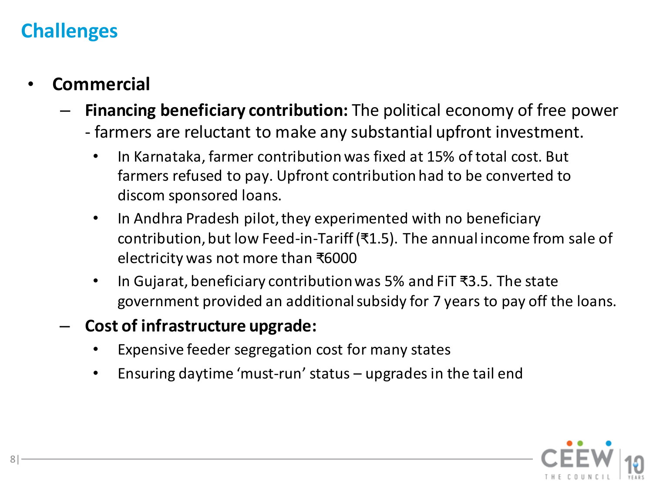- **Commercial**
	- **Financing beneficiary contribution:** The political economy of free power
		- farmers are reluctant to make any substantial upfront investment.
			- In Karnataka, farmer contribution was fixed at 15% of total cost. But farmers refused to pay. Upfront contribution had to be converted to discom sponsored loans.
			- In Andhra Pradesh pilot, they experimented with no beneficiary contribution, but low Feed-in-Tariff (₹1.5). The annual income from sale of electricity was not more than ₹6000
			- In Gujarat, beneficiary contribution was 5% and FiT ₹3.5. The state government provided an additional subsidy for 7 years to pay off the loans.
	- **Cost of infrastructure upgrade:**
		- Expensive feeder segregation cost for many states
		- Ensuring daytime 'must-run' status  $-$  upgrades in the tail end

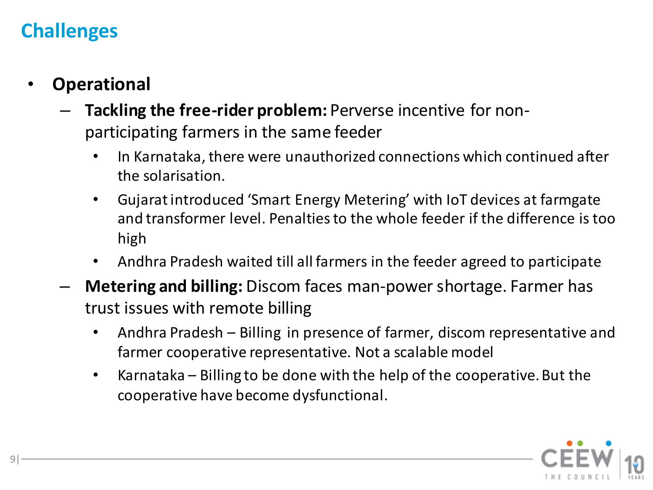- **Operational**
	- **Tackling the free-rider problem:** Perverse incentive for nonparticipating farmers in the same feeder
		- In Karnataka, there were unauthorized connections which continued after the solarisation.
		- Gujarat introduced 'Smart Energy Metering' with IoT devices at farmgate and transformer level. Penalties to the whole feeder if the difference is too high
		- Andhra Pradesh waited till all farmers in the feeder agreed to participate
	- **Metering and billing:** Discom faces man-power shortage. Farmer has trust issues with remote billing
		- Andhra Pradesh Billing in presence of farmer, discom representative and farmer cooperative representative. Not a scalable model
		- Karnataka Billing to be done with the help of the cooperative. But the cooperative have become dysfunctional.

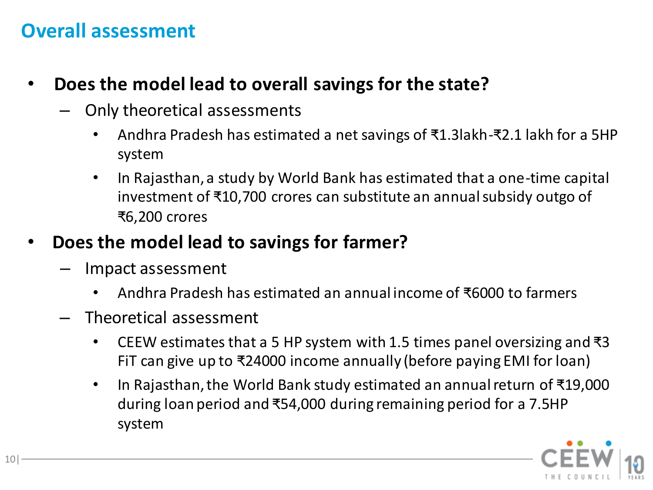### **Overall assessment**

- **Does the model lead to overall savings for the state?**
	- Only theoretical assessments
		- Andhra Pradesh has estimated a net savings of ₹1.3lakh-₹2.1 lakh for a 5HP system
		- In Rajasthan, a study by World Bank has estimated that a one-time capital investment of ₹10,700 crores can substitute an annual subsidy outgo of ₹6,200 crores
- **Does the model lead to savings for farmer?** 
	- Impact assessment
		- Andhra Pradesh has estimated an annual income of ₹6000 to farmers
	- Theoretical assessment
		- CEEW estimates that a 5 HP system with 1.5 times panel oversizing and  $\overline{3}$ FiT can give up to ₹24000 income annually (before paying EMI for loan)
		- In Rajasthan, the World Bank study estimated an annual return of ₹19,000 during loan period and ₹54,000 during remaining period for a 7.5HP system

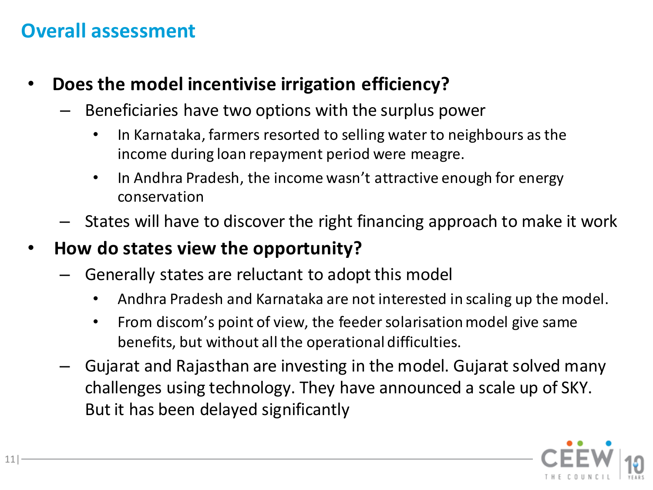# **Overall assessment**

- **Does the model incentivise irrigation efficiency?** 
	- Beneficiaries have two options with the surplus power
		- In Karnataka, farmers resorted to selling water to neighbours as the income during loan repayment period were meagre.
		- In Andhra Pradesh, the income wasn't attractive enough for energy conservation
	- States will have to discover the right financing approach to make it work

#### • **How do states view the opportunity?**

- Generally states are reluctant to adopt this model
	- Andhra Pradesh and Karnataka are not interested in scaling up the model.
	- From discom's point of view, the feeder solarisation model give same benefits, but without all the operational difficulties.
- Gujarat and Rajasthan are investing in the model. Gujarat solved many challenges using technology. They have announced a scale up of SKY. But it has been delayed significantly

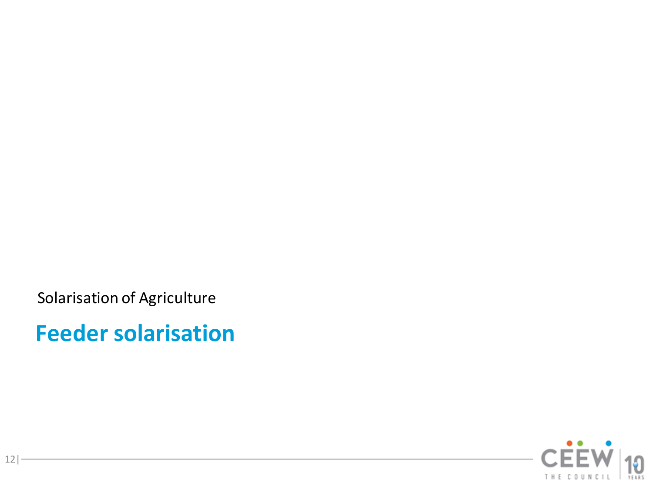Solarisation of Agriculture

**Feeder solarisation**

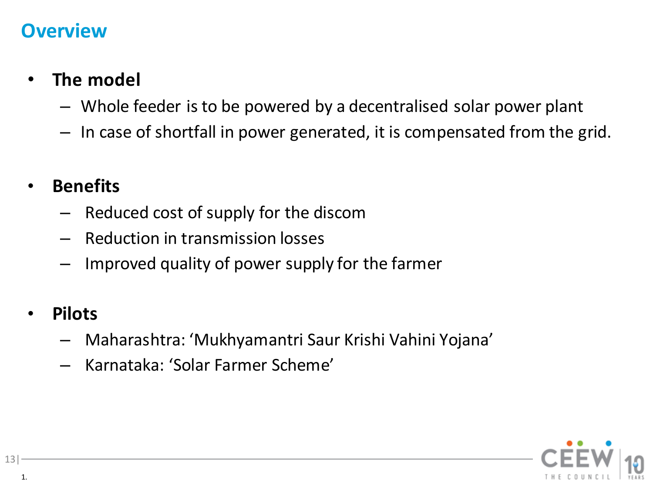### **Overview**

# • **The model**

- Whole feeder is to be powered by a decentralised solar power plant
- In case of shortfall in power generated, it is compensated from the grid.

### • **Benefits**

- Reduced cost of supply for the discom
- Reduction in transmission losses
- Improved quality of power supply for the farmer

#### • **Pilots**

- Maharashtra: 'Mukhyamantri Saur Krishi Vahini Yojana'
- Karnataka: 'Solar Farmer Scheme'

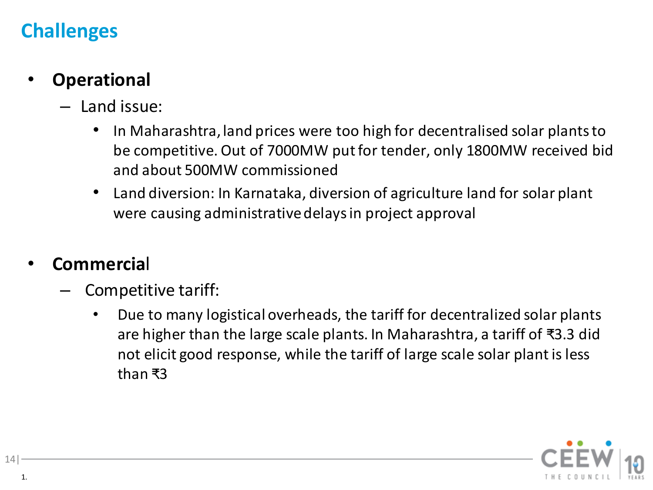# • **Operational**

- Land issue:
	- In Maharashtra, land prices were too high for decentralised solar plants to be competitive. Out of 7000MW put for tender, only 1800MW received bid and about 500MW commissioned
	- Land diversion: In Karnataka, diversion of agriculture land for solar plant were causing administrative delays in project approval

#### • **Commercia**l

- Competitive tariff:
	- Due to many logistical overheads, the tariff for decentralized solar plants are higher than the large scale plants. In Maharashtra, a tariff of ₹3.3 did not elicit good response, while the tariff of large scale solar plant is less than ₹3

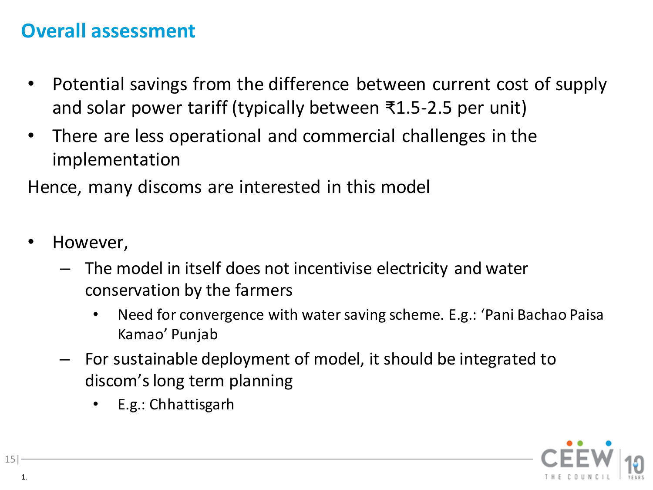# **Overall assessment**

- Potential savings from the difference between current cost of supply and solar power tariff (typically between ₹1.5-2.5 per unit)
- There are less operational and commercial challenges in the implementation

Hence, many discoms are interested in this model

- However,
	- The model in itself does not incentivise electricity and water conservation by the farmers
		- Need for convergence with water saving scheme. E.g.: 'Pani Bachao Paisa Kamao' Punjab
	- For sustainable deployment of model, it should be integrated to discom'slong term planning
		- E.g.: Chhattisgarh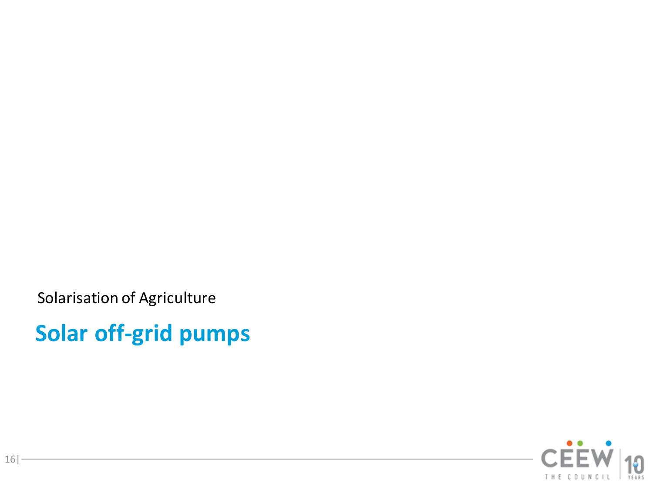Solarisation of Agriculture

**Solar off-grid pumps**

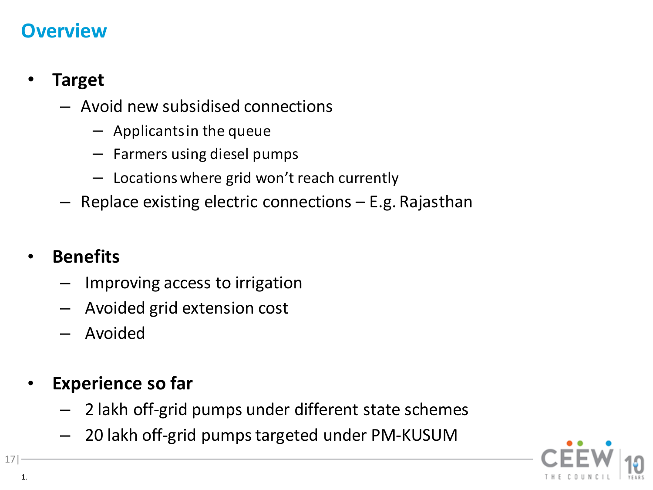### **Overview**

### • **Target**

- Avoid new subsidised connections
	- Applicants in the queue
	- Farmers using diesel pumps
	- Locations where grid won't reach currently
- Replace existing electric connections E.g. Rajasthan

### • **Benefits**

- Improving access to irrigation
- Avoided grid extension cost
- Avoided

### • **Experience so far**

- 2 lakh off-grid pumps under different state schemes
- 20 lakh off-grid pumps targeted under PM-KUSUM



1.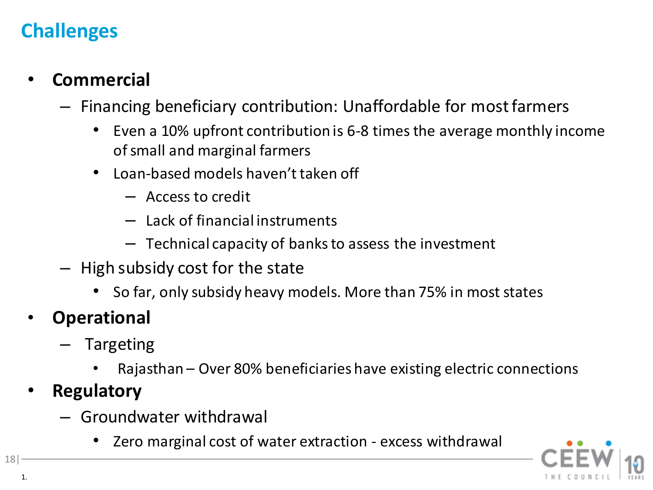### • **Commercial**

- Financing beneficiary contribution: Unaffordable for most farmers
	- Even a 10% upfront contribution is 6-8 times the average monthly income of small and marginal farmers
	- Loan-based models haven't taken off
		- Access to credit
		- Lack of financial instruments
		- Technical capacity of banks to assess the investment
- High subsidy cost for the state
	- So far, only subsidy heavy models. More than 75% in most states
- **Operational**
	- Targeting
		- Rajasthan Over 80% beneficiaries have existing electric connections
- **Regulatory**
	- Groundwater withdrawal
		- Zero marginal cost of water extraction excess withdrawal



1.